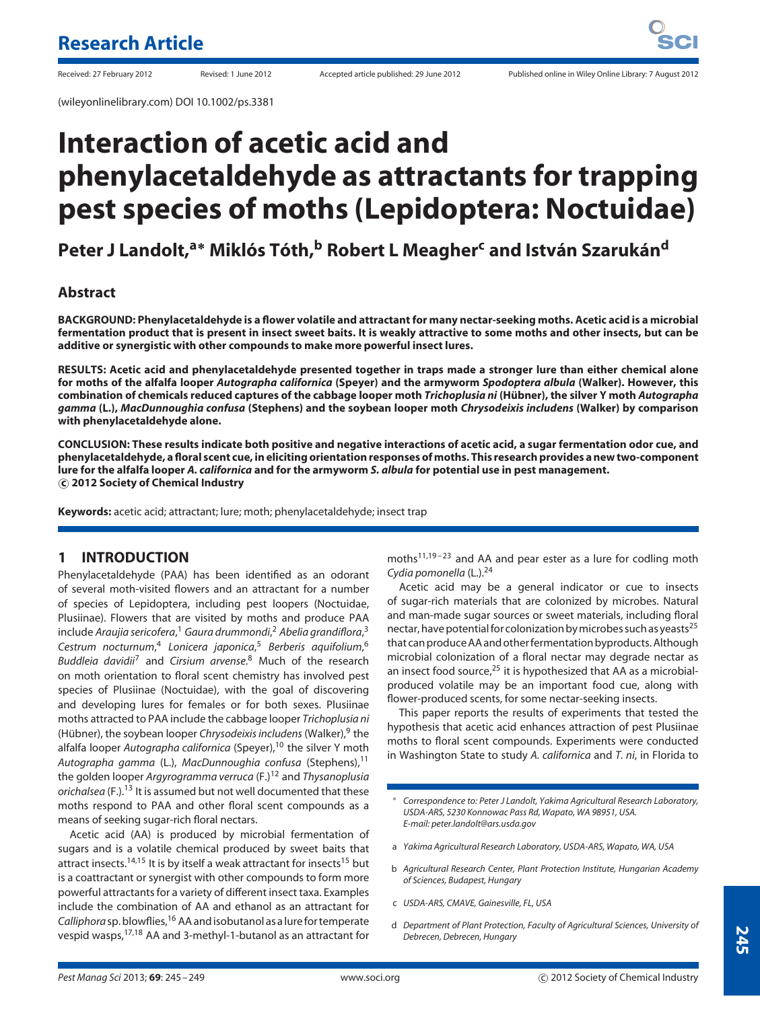(wileyonlinelibrary.com) DOI 10.1002/ps.3381

# **Interaction of acetic acid and phenylacetaldehyde as attractants for trapping pest species of moths (Lepidoptera: Noctuidae)**

**Peter J Landolt,a<sup>∗</sup> Miklos T ´ oth, ´ <sup>b</sup> Robert L Meagher<sup>c</sup> and Istvan Szaruk ´ an´ <sup>d</sup>**

## **Abstract**

**BACKGROUND: Phenylacetaldehyde is a flower volatile and attractant for many nectar-seeking moths. Acetic acid is a microbial fermentation product that is present in insect sweet baits. It is weakly attractive to some moths and other insects, but can be additive or synergistic with other compounds to make more powerful insect lures.**

**RESULTS: Acetic acid and phenylacetaldehyde presented together in traps made a stronger lure than either chemical alone for moths of the alfalfa looper** *Autographa californica* **(Speyer) and the armyworm** *Spodoptera albula* **(Walker). However, this combination of chemicals reduced captures of the cabbage looper moth** *Trichoplusia ni* **(Hubner), the silver Y moth ¨** *Autographa gamma* **(L.),** *MacDunnoughia confusa* **(Stephens) and the soybean looper moth** *Chrysodeixis includens* **(Walker) by comparison with phenylacetaldehyde alone.**

**CONCLUSION: These results indicate both positive and negative interactions of acetic acid, a sugar fermentation odor cue, and phenylacetaldehyde, a floral scent cue, in eliciting orientation responses of moths. This research provides a new two-component lure for the alfalfa looper** *A. californica* **and for the armyworm** *S. albula* **for potential use in pest management. c 2012 Society of Chemical Industry**

**Keywords:** acetic acid; attractant; lure; moth; phenylacetaldehyde; insect trap

## **1 INTRODUCTION**

Phenylacetaldehyde (PAA) has been identified as an odorant of several moth-visited flowers and an attractant for a number of species of Lepidoptera, including pest loopers (Noctuidae, Plusiinae). Flowers that are visited by moths and produce PAA include *Araujia sericofera*, <sup>1</sup> *Gaura drummondi*, <sup>2</sup> *Abelia grandiflora*, 3 *Cestrum nocturnum*, <sup>4</sup> *Lonicera japonica*, <sup>5</sup> *Berberis aquifolium*, 6 *Buddleia davidii*<sup>7</sup> and *Cirsium arvense*. <sup>8</sup> Much of the research on moth orientation to floral scent chemistry has involved pest species of Plusiinae (Noctuidae), with the goal of discovering and developing lures for females or for both sexes. Plusiinae moths attracted to PAA include the cabbage looper *Trichoplusia ni* (Hübner), the soybean looper *Chrysodeixis includens* (Walker), <sup>9</sup> the alfalfa looper *Autographa californica* (Speyer),<sup>10</sup> the silver Y moth *Autographa gamma* (L.), *MacDunnoughia confusa* (Stephens),11 the golden looper *Argyrogramma verruca* (F.)12 and *Thysanoplusia orichalsea* (F.).13 It is assumed but not well documented that these moths respond to PAA and other floral scent compounds as a means of seeking sugar-rich floral nectars.

Acetic acid (AA) is produced by microbial fermentation of sugars and is a volatile chemical produced by sweet baits that attract insects.<sup>14,15</sup> It is by itself a weak attractant for insects<sup>15</sup> but is a coattractant or synergist with other compounds to form more powerful attractants for a variety of different insect taxa. Examples include the combination of AA and ethanol as an attractant for *Calliphora*sp. blowflies,16 AA and isobutanol as a lurefor temperate vespid wasps,17,18 AA and 3-methyl-1-butanol as an attractant for

 $moths<sup>11,19-23</sup>$  and AA and pear ester as a lure for codling moth *Cydia pomonella* (L.).24

Acetic acid may be a general indicator or cue to insects of sugar-rich materials that are colonized by microbes. Natural and man-made sugar sources or sweet materials, including floral nectar, have potential for colonization by microbes such as yeasts<sup>25</sup> that can produce AA and otherfermentation byproducts. Although microbial colonization of a floral nectar may degrade nectar as an insect food source, $25$  it is hypothesized that AA as a microbialproduced volatile may be an important food cue, along with flower-produced scents, for some nectar-seeking insects.

This paper reports the results of experiments that tested the hypothesis that acetic acid enhances attraction of pest Plusiinae moths to floral scent compounds. Experiments were conducted in Washington State to study *A. californica* and *T. ni*, in Florida to

- ∗ *Correspondence to: Peter J Landolt, Yakima Agricultural Research Laboratory, USDA-ARS, 5230 Konnowac Pass Rd, Wapato, WA 98951, USA. E-mail: peter.landolt@ars.usda.gov*
- a *Yakima Agricultural Research Laboratory, USDA-ARS, Wapato, WA, USA*
- b *Agricultural Research Center, Plant Protection Institute, Hungarian Academy of Sciences, Budapest, Hungary*
- c *USDA-ARS, CMAVE, Gainesville, FL, USA*
- d *Department of Plant Protection, Faculty of Agricultural Sciences, University of Debrecen, Debrecen, Hungary*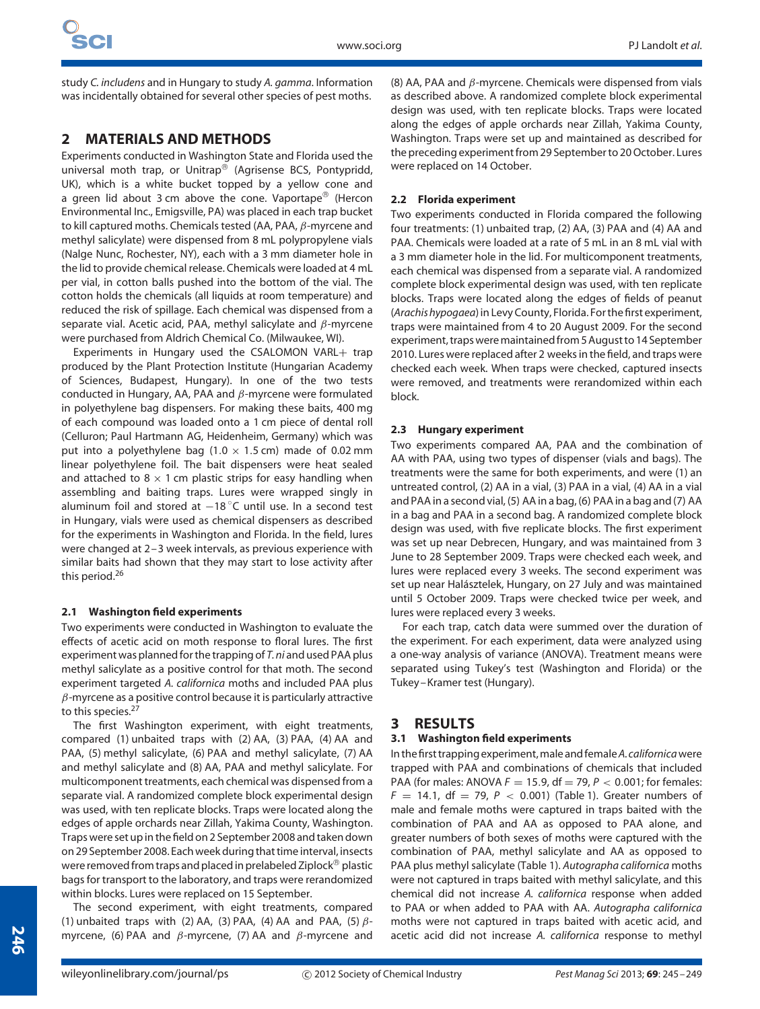study *C. includens* and in Hungary to study *A. gamma*. Information was incidentally obtained for several other species of pest moths.

## **2 MATERIALS AND METHODS**

Experiments conducted in Washington State and Florida used the universal moth trap, or Unitrap<sup>®</sup> (Agrisense BCS, Pontypridd, UK), which is a white bucket topped by a yellow cone and a green lid about 3 cm above the cone. Vaportape<sup>®</sup> (Hercon Environmental Inc., Emigsville, PA) was placed in each trap bucket to kill captured moths. Chemicals tested (AA, PAA, *β*-myrcene and methyl salicylate) were dispensed from 8 mL polypropylene vials (Nalge Nunc, Rochester, NY), each with a 3 mm diameter hole in the lid to provide chemical release. Chemicals were loaded at 4 mL per vial, in cotton balls pushed into the bottom of the vial. The cotton holds the chemicals (all liquids at room temperature) and reduced the risk of spillage. Each chemical was dispensed from a separate vial. Acetic acid, PAA, methyl salicylate and *β*-myrcene were purchased from Aldrich Chemical Co. (Milwaukee, WI).

Experiments in Hungary used the CSALOMON VARL+ trap produced by the Plant Protection Institute (Hungarian Academy of Sciences, Budapest, Hungary). In one of the two tests conducted in Hungary, AA, PAA and *β*-myrcene were formulated in polyethylene bag dispensers. For making these baits, 400 mg of each compound was loaded onto a 1 cm piece of dental roll (Celluron; Paul Hartmann AG, Heidenheim, Germany) which was put into a polyethylene bag  $(1.0 \times 1.5 \text{ cm})$  made of 0.02 mm linear polyethylene foil. The bait dispensers were heat sealed and attached to 8  $\times$  1 cm plastic strips for easy handling when assembling and baiting traps. Lures were wrapped singly in aluminum foil and stored at  $-18\degree$ C until use. In a second test in Hungary, vials were used as chemical dispensers as described for the experiments in Washington and Florida. In the field, lures were changed at 2–3 week intervals, as previous experience with similar baits had shown that they may start to lose activity after this period.<sup>26</sup>

## **2.1 Washington field experiments**

Two experiments were conducted in Washington to evaluate the effects of acetic acid on moth response to floral lures. The first experiment was plannedfor the trapping of *T. ni* and used PAA plus methyl salicylate as a positive control for that moth. The second experiment targeted *A. californica* moths and included PAA plus *β*-myrcene as a positive control because it is particularly attractive to this species.<sup>27</sup>

The first Washington experiment, with eight treatments, compared (1) unbaited traps with (2) AA, (3) PAA, (4) AA and PAA, (5) methyl salicylate, (6) PAA and methyl salicylate, (7) AA and methyl salicylate and (8) AA, PAA and methyl salicylate. For multicomponent treatments, each chemical was dispensed from a separate vial. A randomized complete block experimental design was used, with ten replicate blocks. Traps were located along the edges of apple orchards near Zillah, Yakima County, Washington. Traps were set up in the field on 2 September 2008 and taken down on 29 September 2008. Each week during that time interval, insects were removed from traps and placed in prelabeled Ziplock<sup>®</sup> plastic bags for transport to the laboratory, and traps were rerandomized within blocks. Lures were replaced on 15 September.

The second experiment, with eight treatments, compared (1) unbaited traps with (2) AA, (3) PAA, (4) AA and PAA, (5) *β*myrcene, (6) PAA and *β*-myrcene, (7) AA and *β*-myrcene and (8) AA, PAA and *β*-myrcene. Chemicals were dispensed from vials as described above. A randomized complete block experimental design was used, with ten replicate blocks. Traps were located along the edges of apple orchards near Zillah, Yakima County, Washington. Traps were set up and maintained as described for the preceding experiment from 29 September to 20 October. Lures were replaced on 14 October.

## **2.2 Florida experiment**

Two experiments conducted in Florida compared the following four treatments: (1) unbaited trap, (2) AA, (3) PAA and (4) AA and PAA. Chemicals were loaded at a rate of 5 mL in an 8 mL vial with a 3 mm diameter hole in the lid. For multicomponent treatments, each chemical was dispensed from a separate vial. A randomized complete block experimental design was used, with ten replicate blocks. Traps were located along the edges of fields of peanut (*Arachis hypogaea*) in Levy County, Florida. For the first experiment, traps were maintained from 4 to 20 August 2009. For the second experiment, traps were maintained from 5 August to 14 September 2010. Lures were replaced after 2 weeks in the field, and traps were checked each week. When traps were checked, captured insects were removed, and treatments were rerandomized within each block.

#### **2.3 Hungary experiment**

Two experiments compared AA, PAA and the combination of AA with PAA, using two types of dispenser (vials and bags). The treatments were the same for both experiments, and were (1) an untreated control, (2) AA in a vial, (3) PAA in a vial, (4) AA in a vial and PAA in a second vial, (5) AA in a bag, (6) PAA in a bag and (7) AA in a bag and PAA in a second bag. A randomized complete block design was used, with five replicate blocks. The first experiment was set up near Debrecen, Hungary, and was maintained from 3 June to 28 September 2009. Traps were checked each week, and lures were replaced every 3 weeks. The second experiment was set up near Halásztelek, Hungary, on 27 July and was maintained until 5 October 2009. Traps were checked twice per week, and lures were replaced every 3 weeks.

For each trap, catch data were summed over the duration of the experiment. For each experiment, data were analyzed using a one-way analysis of variance (ANOVA). Treatment means were separated using Tukey's test (Washington and Florida) or the Tukey–Kramer test (Hungary).

## **3 RESULTS**

## **3.1 Washington field experiments**

In the first trapping experiment,male andfemale*A.californica*were trapped with PAA and combinations of chemicals that included PAA (for males: ANOVA *F* = 15*.*9, df = 79, *P <* 0*.*001; for females:  $F = 14.1$ , df = 79,  $P < 0.001$ ) (Table 1). Greater numbers of male and female moths were captured in traps baited with the combination of PAA and AA as opposed to PAA alone, and greater numbers of both sexes of moths were captured with the combination of PAA, methyl salicylate and AA as opposed to PAA plus methyl salicylate (Table 1). *Autographa californica* moths were not captured in traps baited with methyl salicylate, and this chemical did not increase *A. californica* response when added to PAA or when added to PAA with AA. *Autographa californica* moths were not captured in traps baited with acetic acid, and acetic acid did not increase *A. californica* response to methyl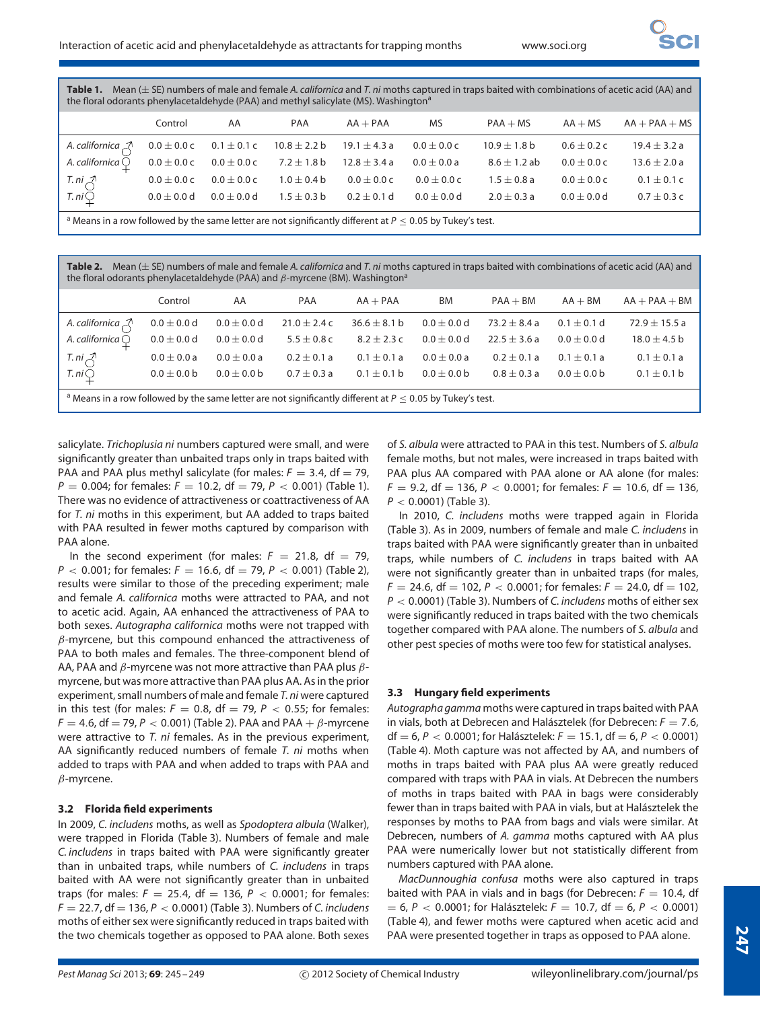| <b>Table 1.</b> Mean ( $\pm$ SE) numbers of male and female A. <i>californica</i> and T. <i>ni</i> moths captured in traps baited with combinations of acetic acid (AA) and |
|-----------------------------------------------------------------------------------------------------------------------------------------------------------------------------|
| the floral odorants phenylacetaldehyde (PAA) and methyl salicylate (MS). Washington <sup>a</sup>                                                                            |

|                                                                                                                        | Control       | AA            | PAA                             | $AA + PAA$    | MS            | $PAA + MS$       | $AA + MS$       | $AA + PAA + MS$  |
|------------------------------------------------------------------------------------------------------------------------|---------------|---------------|---------------------------------|---------------|---------------|------------------|-----------------|------------------|
| A. californica $\bigwedge$ 0.0 $\pm$ 0.0 c 0.1 $\pm$ 0.1 c 10.8 $\pm$ 2.2 b 19.1 $\pm$ 4.3 a 0.0 $\pm$ 0.0 c           |               |               |                                 |               |               | $10.9\pm1.8$ b   | $0.6 \pm 0.2$ c | $19.4 \pm 3.2 a$ |
| A. californica $\bigcirc$ 0.0 $\pm$ 0.0 c 0.0 $\pm$ 0.0 c 7.2 $\pm$ 1.8 b 12.8 $\pm$ 3.4 a                             |               |               |                                 |               | $0.0\pm0.0$ a | $8.6 \pm 1.2$ ab | $0.0 + 0.0c$    | $13.6 \pm 2.0 a$ |
|                                                                                                                        | $0.0\pm0.0$ C | $0.0\pm0.0$ C | $1.0\pm0.4$ b                   | $0.0\pm0.0$ C | $0.0\pm0.0$ C | $1.5 \pm 0.8$ a  | $0.0 \pm 0.0 c$ | $0.1 \pm 0.1 c$  |
| T. ni $\bigcirc$ T. ni $\bigcirc$                                                                                      | $0.0\pm0.0$ d | $0.0\pm0.0$ d | $1.5 \pm 0.3$ b 0.2 $\pm$ 0.1 d |               | $0.0\pm0.0$ d | $2.0 \pm 0.3$ a  | $0.0 + 0.0 d$   | $0.7 \pm 0.3$ c  |
| $\frac{1}{2}$ Means in a row followed by the same letter are not significantly different at $R < 0.05$ by Tukey's test |               |               |                                 |               |               |                  |                 |                  |

Means in a row followed by the same letter are not significantly different at  $P \leq 0.05$  by Tukey's test.

**Table 2.** Mean (± SE) numbers of male and female *A. californica* and *T. ni* moths captured in traps baited with combinations of acetic acid (AA) and the floral odorants phenylacetaldehyde (PAA) and *β*-myrcene (BM). Washington<sup>a</sup>

|                                                                                                                          | Control         | AA              | PAA              | $AA + PAA$       | BM            | $PAA + BM$     | $AA + BM$       | $AA + PAA + BM$   |
|--------------------------------------------------------------------------------------------------------------------------|-----------------|-----------------|------------------|------------------|---------------|----------------|-----------------|-------------------|
| A. californica $\mathcal{Z}$                                                                                             | $0.0\pm0.0$ d   | $0.0\pm0.0$ d   | $21.0 \pm 2.4$ c | $36.6 \pm 8.1 b$ | $0.0 + 0.0 d$ | $73.2 + 8.4 a$ | $0.1 \pm 0.1$ d | $72.9 \pm 15.5$ a |
| A. californica $\bigcirc$                                                                                                | $0.0 \pm 0.0$ d | $0.0 \pm 0.0 d$ | $5.5 \pm 0.8$ c  | $8.2 + 2.3c$     | $0.0 + 0.0 d$ | $22.5 + 3.6a$  | $0.0 + 0.0 d$   | $18.0 \pm 4.5$ b  |
|                                                                                                                          | $0.0 \pm 0.0 a$ | $0.0 \pm 0.0 a$ | $0.2 \pm 0.1 a$  | $0.1 + 0.1 a$    | $0.0 + 0.0 a$ | $0.2 + 0.1 a$  | $0.1 + 0.1 a$   | $0.1 \pm 0.1 a$   |
| $T. ni \n\bigcirc T. ni \n\bigcirc T. ni \n\bigcirc T$                                                                   | $0.0 + 0.0 b$   | $0.0 + 0.0 b$   | $0.7 \pm 0.3 a$  | $0.1 \pm 0.1$ b  | $0.0 + 0.0 b$ | $0.8 + 0.3 a$  | $0.0 + 0.0 b$   | $0.1 \pm 0.1$ b   |
| <sup>a</sup> Means in a row followed by the same letter are not significantly different at $P \le 0.05$ by Tukey's test. |                 |                 |                  |                  |               |                |                 |                   |

salicylate. *Trichoplusia ni* numbers captured were small, and were significantly greater than unbaited traps only in traps baited with PAA and PAA plus methyl salicylate (for males:  $F = 3.4$ , df = 79,  $P = 0.004$ ; for females:  $F = 10.2$ , df = 79,  $P < 0.001$ ) (Table 1). There was no evidence of attractiveness or coattractiveness of AA for *T. ni* moths in this experiment, but AA added to traps baited with PAA resulted in fewer moths captured by comparison with PAA alone.

In the second experiment (for males:  $F = 21.8$ , df = 79, *P <* 0*.*001; for females: *F* = 16*.*6, df = 79, *P <* 0*.*001) (Table 2), results were similar to those of the preceding experiment; male and female *A. californica* moths were attracted to PAA, and not to acetic acid. Again, AA enhanced the attractiveness of PAA to both sexes. *Autographa californica* moths were not trapped with *β*-myrcene, but this compound enhanced the attractiveness of PAA to both males and females. The three-component blend of AA, PAA and *β*-myrcene was not more attractive than PAA plus *β*myrcene, but was more attractive than PAA plus AA. As in the prior experiment, small numbers of male and female *T. ni* were captured in this test (for males:  $F = 0.8$ , df = 79,  $P < 0.55$ ; for females:  $F = 4.6$ , df = 79, *P* < 0.001) (Table 2). PAA and PAA +  $\beta$ -myrcene were attractive to *T. ni* females. As in the previous experiment, AA significantly reduced numbers of female *T. ni* moths when added to traps with PAA and when added to traps with PAA and *β*-myrcene.

#### **3.2 Florida field experiments**

In 2009, *C. includens* moths, as well as *Spodoptera albula* (Walker), were trapped in Florida (Table 3). Numbers of female and male *C. includens* in traps baited with PAA were significantly greater than in unbaited traps, while numbers of *C. includens* in traps baited with AA were not significantly greater than in unbaited traps (for males:  $F = 25.4$ , df = 136,  $P < 0.0001$ ; for females: *F* = 22*.*7, df = 136, *P <* 0*.*0001) (Table 3). Numbers of *C. includens* moths of either sex were significantly reduced in traps baited with the two chemicals together as opposed to PAA alone. Both sexes

of *S. albula* were attracted to PAA in this test. Numbers of *S. albula* female moths, but not males, were increased in traps baited with PAA plus AA compared with PAA alone or AA alone (for males:  $F = 9.2$ , df = 136,  $P < 0.0001$ ; for females:  $F = 10.6$ , df = 136, *P <* 0*.*0001) (Table 3).

In 2010, *C. includens* moths were trapped again in Florida (Table 3). As in 2009, numbers of female and male *C. includens* in traps baited with PAA were significantly greater than in unbaited traps, while numbers of *C. includens* in traps baited with AA were not significantly greater than in unbaited traps (for males,  $F = 24.6$ , df = 102,  $P < 0.0001$ ; for females:  $F = 24.0$ , df = 102, *P <* 0*.*0001) (Table 3). Numbers of *C. includens* moths of either sex were significantly reduced in traps baited with the two chemicals together compared with PAA alone. The numbers of *S. albula* and other pest species of moths were too few for statistical analyses.

#### **3.3 Hungary field experiments**

*Autographa gamma* moths were captured in traps baited with PAA in vials, both at Debrecen and Halásztelek (for Debrecen:  $F = 7.6$ ,  $df = 6, P < 0.0001$ ; for Halásztelek:  $F = 15.1$ , df = 6,  $P < 0.0001$ ) (Table 4). Moth capture was not affected by AA, and numbers of moths in traps baited with PAA plus AA were greatly reduced compared with traps with PAA in vials. At Debrecen the numbers of moths in traps baited with PAA in bags were considerably fewer than in traps baited with PAA in vials, but at Halásztelek the responses by moths to PAA from bags and vials were similar. At Debrecen, numbers of *A. gamma* moths captured with AA plus PAA were numerically lower but not statistically different from numbers captured with PAA alone.

*MacDunnoughia confusa* moths were also captured in traps baited with PAA in vials and in bags (for Debrecen:  $F = 10.4$ , df  $= 6, P < 0.0001$ ; for Halásztelek:  $F = 10.7$ , df  $= 6, P < 0.0001$ ) (Table 4), and fewer moths were captured when acetic acid and PAA were presented together in traps as opposed to PAA alone.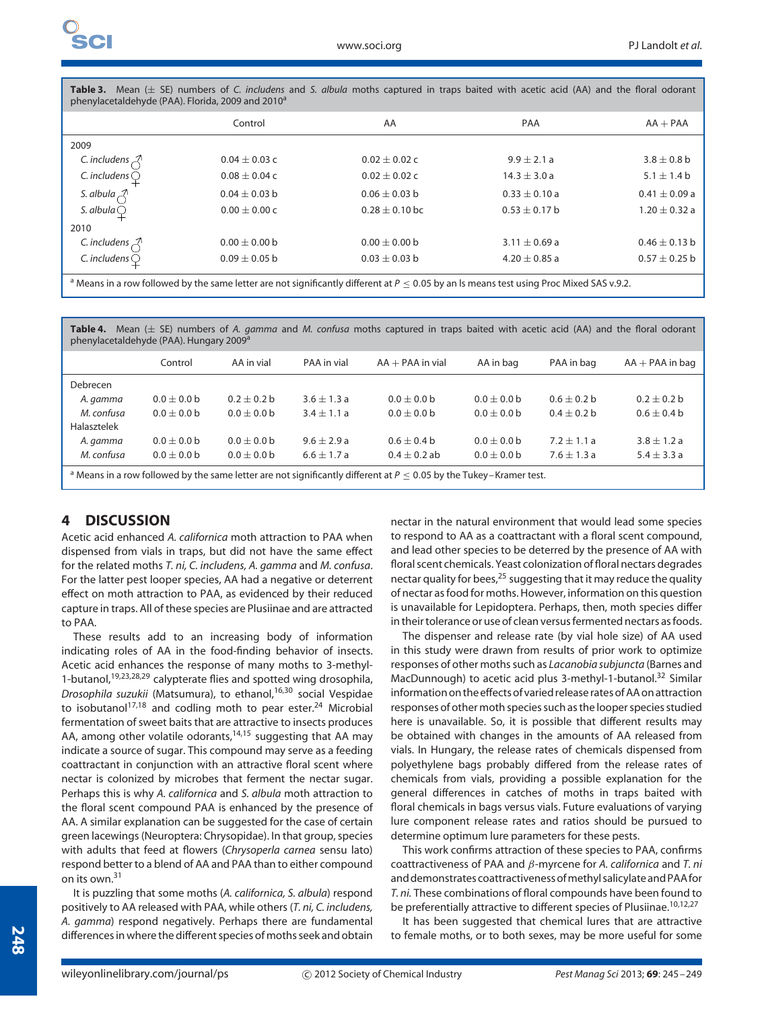**Table 3.** Mean (± SE) numbers of *C. includens* and *S. albula* moths captured in traps baited with acetic acid (AA) and the floral odorant phenylacetaldehyde (PAA). Florida, 2009 and 2010<sup>a</sup>

|                                 | Control           | AA                | PAA               | $AA + PAA$        |
|---------------------------------|-------------------|-------------------|-------------------|-------------------|
| 2009                            |                   |                   |                   |                   |
| C. includens $\mathcal{Z}$      | $0.04 \pm 0.03$ c | $0.02 \pm 0.02$ c | $9.9 \pm 2.1 a$   | $3.8 \pm 0.8$ b   |
| C. includens $\bigcirc$         | $0.08 \pm 0.04$ C | $0.02 \pm 0.02$ c | $14.3 \pm 3.0 a$  | $5.1 \pm 1.4 b$   |
| S. albula $\lambda$             | $0.04 \pm 0.03$ b | $0.06 \pm 0.03$ b | $0.33 \pm 0.10 a$ | $0.41 \pm 0.09$ a |
| S. albula $\bigcirc$            | $0.00 + 0.00c$    | $0.28 + 0.10$ bc  | $0.53 \pm 0.17$ b | $1.20 \pm 0.32$ a |
| 2010                            |                   |                   |                   |                   |
| C. includens $\curvearrowright$ | $0.00 \pm 0.00$ b | $0.00 \pm 0.00$ b | $3.11 \pm 0.69$ a | $0.46 \pm 0.13$ b |
| C. includens $\bigcirc$         | $0.09 + 0.05$ b   | $0.03 + 0.03$ b   | $4.20 + 0.85$ a   | $0.57 \pm 0.25$ b |
|                                 |                   |                   |                   |                   |

<sup>a</sup> Means in a row followed by the same letter are not significantly different at *P* ≤ 0.05 by an ls means test using Proc Mixed SAS v.9.2.

**Table 4.** Mean (± SE) numbers of *A. gamma* and *M. confusa* moths captured in traps baited with acetic acid (AA) and the floral odorant phyde (PAA). Hungar

| pricritiacecalactifac (1707). Hangary 2003                                                                                        |               |               |                 |                    |               |               |                   |  |
|-----------------------------------------------------------------------------------------------------------------------------------|---------------|---------------|-----------------|--------------------|---------------|---------------|-------------------|--|
|                                                                                                                                   | Control       | AA in vial    | PAA in vial     | $AA + PAA$ in vial | AA in bag     | PAA in bag    | $AA + PAA$ in bag |  |
| Debrecen                                                                                                                          |               |               |                 |                    |               |               |                   |  |
| A. gamma                                                                                                                          | $0.0 + 0.0 b$ | $0.2 + 0.2 b$ | $3.6 + 1.3a$    | $0.0 + 0.0 b$      | $0.0 + 0.0 b$ | $0.6 + 0.2 b$ | $0.2 + 0.2 b$     |  |
| M. confusa                                                                                                                        | $0.0 + 0.0 b$ | $0.0 + 0.0 b$ | $3.4 \pm 1.1 a$ | $0.0 + 0.0 b$      | $0.0 + 0.0 b$ | $0.4 + 0.2 b$ | $0.6 + 0.4 b$     |  |
| Halasztelek                                                                                                                       |               |               |                 |                    |               |               |                   |  |
| A. gamma                                                                                                                          | $0.0 + 0.0 b$ | $0.0 + 0.0 b$ | $9.6 + 2.9a$    | $0.6 + 0.4 b$      | $0.0 + 0.0 b$ | $7.2 + 1.1a$  | $3.8 + 1.2a$      |  |
| M. confusa                                                                                                                        | $0.0 + 0.0 b$ | $0.0 + 0.0 b$ | $6.6 + 1.7a$    | $0.4 + 0.2$ ab     | $0.0 + 0.0 b$ | $7.6 + 1.3a$  | $5.4 \pm 3.3 a$   |  |
| <sup>a</sup> Means in a row followed by the same letter are not significantly different at $P \le 0.05$ by the Tukey–Kramer test. |               |               |                 |                    |               |               |                   |  |

## **4 DISCUSSION**

Acetic acid enhanced *A. californica* moth attraction to PAA when dispensed from vials in traps, but did not have the same effect for the related moths *T. ni, C. includens, A. gamma* and *M. confusa*. For the latter pest looper species, AA had a negative or deterrent effect on moth attraction to PAA, as evidenced by their reduced capture in traps. All of these species are Plusiinae and are attracted to PAA.

These results add to an increasing body of information indicating roles of AA in the food-finding behavior of insects. Acetic acid enhances the response of many moths to 3-methyl-1-butanol,<sup>19,23,28,29</sup> calypterate flies and spotted wing drosophila, *Drosophila suzukii* (Matsumura), to ethanol,<sup>16,30</sup> social Vespidae to isobutanol<sup>17,18</sup> and codling moth to pear ester.<sup>24</sup> Microbial fermentation of sweet baits that are attractive to insects produces AA, among other volatile odorants, $14,15$  suggesting that AA may indicate a source of sugar. This compound may serve as a feeding coattractant in conjunction with an attractive floral scent where nectar is colonized by microbes that ferment the nectar sugar. Perhaps this is why *A. californica* and *S. albula* moth attraction to the floral scent compound PAA is enhanced by the presence of AA. A similar explanation can be suggested for the case of certain green lacewings (Neuroptera: Chrysopidae). In that group, species with adults that feed at flowers (*Chrysoperla carnea* sensu lato) respond better to a blend of AA and PAA than to either compound on its own.31

It is puzzling that some moths (*A. californica, S. albula*) respond positively to AA released with PAA, while others (*T. ni, C. includens, A. gamma*) respond negatively. Perhaps there are fundamental differences in where the different species of moths seek and obtain nectar in the natural environment that would lead some species to respond to AA as a coattractant with a floral scent compound, and lead other species to be deterred by the presence of AA with floral scent chemicals. Yeast colonization of floral nectars degrades nectar quality for bees, $^{25}$  suggesting that it may reduce the quality of nectar as food for moths. However, information on this question is unavailable for Lepidoptera. Perhaps, then, moth species differ in their tolerance or use of clean versus fermented nectars as foods.

The dispenser and release rate (by vial hole size) of AA used in this study were drawn from results of prior work to optimize responses of other moths such as *Lacanobia subjuncta* (Barnes and MacDunnough) to acetic acid plus 3-methyl-1-butanol.<sup>32</sup> Similar information on the effects of varied release rates of AA on attraction responses of other moth species such as the looper species studied here is unavailable. So, it is possible that different results may be obtained with changes in the amounts of AA released from vials. In Hungary, the release rates of chemicals dispensed from polyethylene bags probably differed from the release rates of chemicals from vials, providing a possible explanation for the general differences in catches of moths in traps baited with floral chemicals in bags versus vials. Future evaluations of varying lure component release rates and ratios should be pursued to determine optimum lure parameters for these pests.

This work confirms attraction of these species to PAA, confirms coattractiveness of PAA and *β*-myrcene for *A. californica* and *T. ni* and demonstrates coattractiveness ofmethyl salicylateand PAAfor *T. ni.* These combinations of floral compounds have been found to be preferentially attractive to different species of Plusiinae.<sup>10,12,27</sup>

It has been suggested that chemical lures that are attractive to female moths, or to both sexes, may be more useful for some